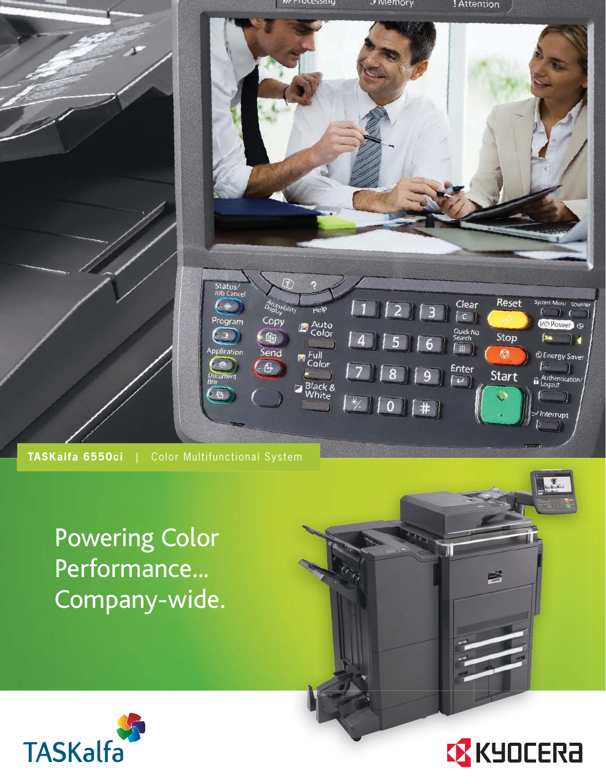

Powering Color Performance... Company-wide.





兽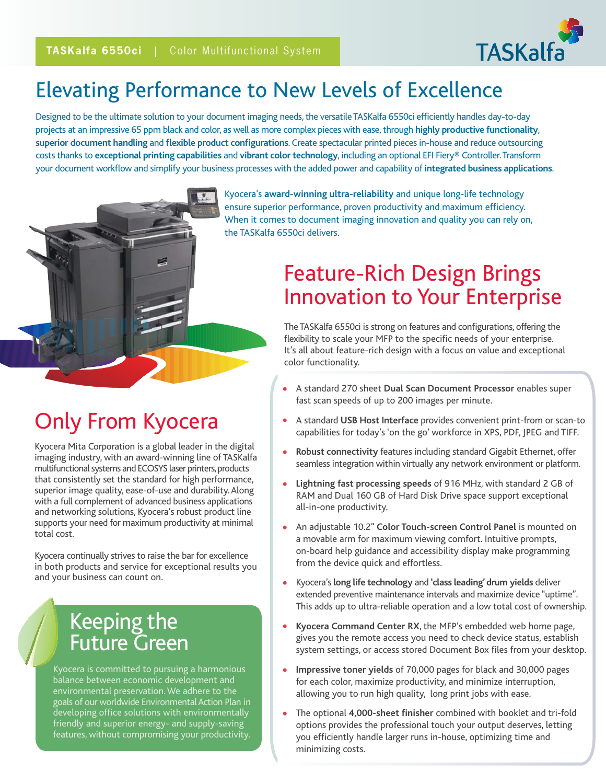

## Elevating Performance to New Levels of Excellence

Designed to be the ultimate solution to your document imaging needs, the versatile TASKalfa 6550ci efficiently handles day-to-day projects at an impressive 65 ppm black and color, as well as more complex pieces with ease, through **highly productive functionality**, **superior document handling** and **flexible product configurations**. Create spectacular printed pieces in-house and reduce outsourcing costs thanks to **exceptional printing capabilities** and **vibrant color technology**, including an optional EFI Fiery® Controller. Transform your document workflow and simplify your business processes with the added power and capability of **integrated business applications**.



Kyocera's **award-winning ultra-reliability** and unique long-life technology ensure superior performance, proven productivity and maximum efficiency. When it comes to document imaging innovation and quality you can rely on, the TASKalfa 6550ci delivers.

### Feature-Rich Design Brings Innovation to Your Enterprise

The TASKalfa 6550ci is strong on features and configurations, offering the flexibility to scale your MFP to the specific needs of your enterprise. It's all about feature-rich design with a focus on value and exceptional color functionality.

- A standard 270 sheet **Dual Scan Document Processor** enables super fast scan speeds of up to 200 images per minute.
- A standard **USB Host Interface** provides convenient print-from or scan-to capabilities for today's 'on the go' workforce in XPS, PDF, JPEG and TIFF.
- **Robust connectivity** features including standard Gigabit Ethernet, offer seamless integration within virtually any network environment or platform.
- **Lightning fast processing speeds** of 916 MHz, with standard 2 GB of RAM and Dual 160 GB of Hard Disk Drive space support exceptional all-in-one productivity.
- An adjustable 10.2" **Color Touch-screen Control Panel** is mounted on a movable arm for maximum viewing comfort. Intuitive prompts, on-board help guidance and accessibility display make programming from the device quick and effortless.
- Kyocera's **long life technology** and **'class leading' drum yields** deliver extended preventive maintenance intervals and maximize device "uptime". This adds up to ultra-reliable operation and a low total cost of ownership.
- **Kyocera Command Center RX**, the MFP's embedded web home page, gives you the remote access you need to check device status, establish system settings, or access stored Document Box files from your desktop.
- **Impressive toner yields** of 70,000 pages for black and 30,000 pages for each color, maximize productivity, and minimize interruption, allowing you to run high quality, long print jobs with ease.
- The optional **4,000-sheet finisher** combined with booklet and tri-fold options provides the professional touch your output deserves, letting you efficiently handle larger runs in-house, optimizing time and minimizing costs.

# Only From Kyocera

Kyocera Mita Corporation is a global leader in the digital imaging industry, with an award-winning line of TASKalfa multifunctional systems and ECOSYS laser printers, products that consistently set the standard for high performance, superior image quality, ease-of-use and durability. Along with a full complement of advanced business applications and networking solutions, Kyocera's robust product line supports your need for maximum productivity at minimal total cost.

Kyocera continually strives to raise the bar for excellence in both products and service for exceptional results you and your business can count on.

#### Keeping the Future Green

Kyocera is committed to pursuing a harmonious balance between economic development and environmental preservation. We adhere to the goals of our worldwide Environmental Action Plan in developing office solutions with environmentally friendly and superior energy- and supply-saving features, without compromising your productivity.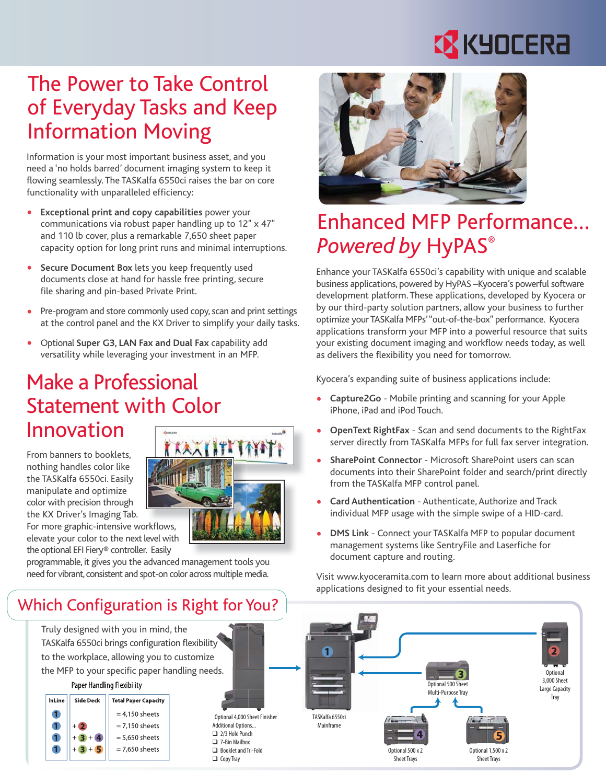# **EX KYOCERA**

## The Power to Take Control of Everyday Tasks and Keep Information Moving

Information is your most important business asset, and you need a 'no holds barred' document imaging system to keep it flowing seamlessly. The TASKalfa 6550ci raises the bar on core functionality with unparalleled efficiency:

- **Exceptional print and copy capabilities** power your communications via robust paper handling up to 12" x 47" and 110 lb cover, plus a remarkable 7,650 sheet paper capacity option for long print runs and minimal interruptions.
- **Secure Document Box** lets you keep frequently used documents close at hand for hassle free printing, secure file sharing and pin-based Private Print.
- Pre-program and store commonly used copy, scan and print settings at the control panel and the KX Driver to simplify your daily tasks.
- Optional **Super G3, LAN Fax and Dual Fax** capability add versatility while leveraging your investment in an MFP.

#### Make a Professional Statement with Color Innovation

From banners to booklets, nothing handles color like the TASKalfa 6550ci. Easily manipulate and optimize color with precision through the KX Driver's Imaging Tab.

For more graphic-intensive workflows, elevate your color to the next level with the optional EFI Fiery® controller. Easily

programmable, it gives you the advanced management tools you need for vibrant, consistent and spot-on color across multiple media.

#### Which Configuration is Right for You?

Truly designed with you in mind, the TASKalfa 6550ci brings configuration flexibility to the workplace, allowing you to customize the MFP to your specific paper handling needs.

#### **Paper Handling Flexibility**





Optional 4,000 Sheet Finisher Additional Options...  $\Box$  2/3 Hole Punch □ 7-Bin Mailbox **Booklet and Tri-Fold**  $\Box$  Copy Tray



# Enhanced MFP Performance… *Powered by* HyPAS®

Enhance your TASKalfa 6550ci's capability with unique and scalable business applications, powered by HyPAS –Kyocera's powerful software development platform. These applications, developed by Kyocera or by our third-party solution partners, allow your business to further optimize your TASKalfa MFPs' "out-of-the-box" performance. Kyocera applications transform your MFP into a powerful resource that suits your existing document imaging and workflow needs today, as well as delivers the flexibility you need for tomorrow.

Kyocera's expanding suite of business applications include:

- **Capture2Go** Mobile printing and scanning for your Apple iPhone, iPad and iPod Touch.
- **OpenText RightFax** Scan and send documents to the RightFax server directly from TASKalfa MFPs for full fax server integration.
- **SharePoint Connector** Microsoft SharePoint users can scan documents into their SharePoint folder and search/print directly from the TASKalfa MFP control panel.
- **Card Authentication** Authenticate, Authorize and Track individual MFP usage with the simple swipe of a HID-card.
- **DMS Link** Connect your TASKalfa MFP to popular document management systems like SentryFile and Laserfiche for document capture and routing.

Visit www.kyoceramita.com to learn more about additional business applications designed to fit your essential needs.